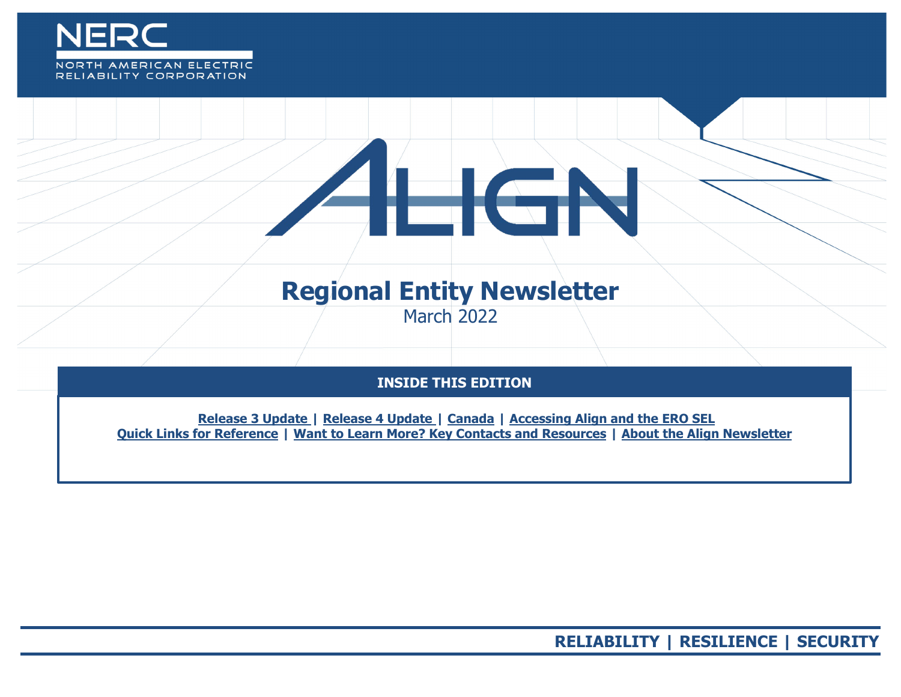

## RELIABILITY CORPORATION

# **Regional Entity Newsletter**

 $\overline{\phantom{a}}$ 

March 2022

### **INSIDE THIS EDITION**

**Release 3 Update | Release 4 Update | Canada | Accessing Align [and the ERO SEL](#page-2-0) [Quick Links for Reference](#page-3-0) | [Want to Learn More? Key Contacts and Resources](#page-4-0) | About the Align Newsletter**

**RELIABILITY | RESILIENCE | SECURITY**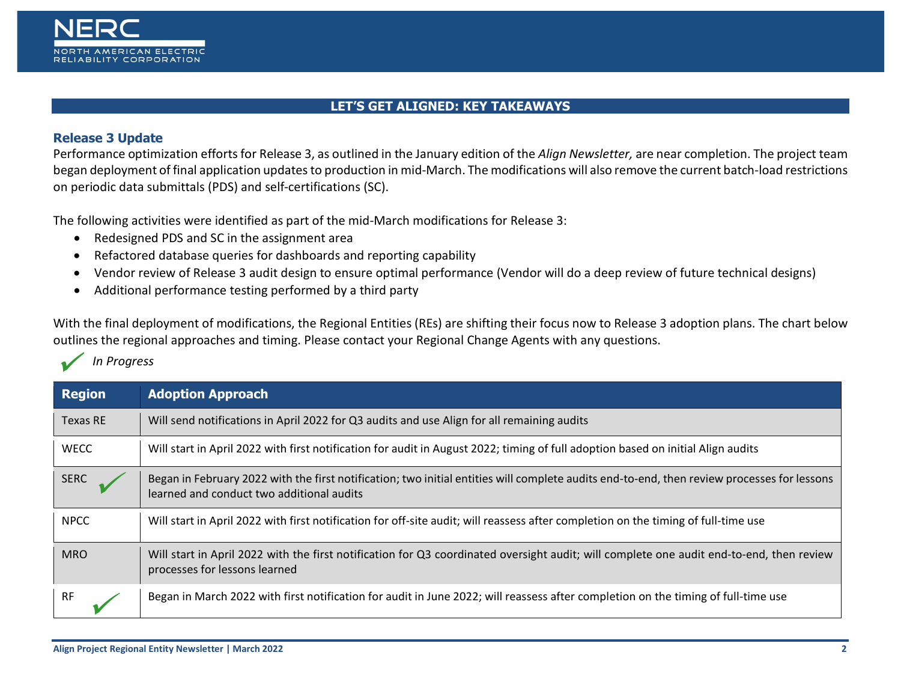

#### **LET'S GET ALIGNED: KEY TAKEAWAYS**

#### **Release 3 Update**

 $\overline{\mathscr{L}}$ 

*In Progress*

Performance optimization efforts for Release 3, as outlined in the January edition of the *Align Newsletter,* are near completion. The project team began deployment of final application updates to production in mid-March. The modifications will also remove the current batch-load restrictions on periodic data submittals (PDS) and self-certifications (SC).

The following activities were identified as part of the mid-March modifications for Release 3:

- Redesigned PDS and SC in the assignment area
- Refactored database queries for dashboards and reporting capability
- Vendor review of Release 3 audit design to ensure optimal performance (Vendor will do a deep review of future technical designs)
- Additional performance testing performed by a third party

With the final deployment of modifications, the Regional Entities (REs) are shifting their focus now to Release 3 adoption plans. The chart below outlines the regional approaches and timing. Please contact your Regional Change Agents with any questions.

| <b>Region</b> | <b>Adoption Approach</b>                                                                                                                                                                 |
|---------------|------------------------------------------------------------------------------------------------------------------------------------------------------------------------------------------|
| Texas RE      | Will send notifications in April 2022 for Q3 audits and use Align for all remaining audits                                                                                               |
| <b>WECC</b>   | Will start in April 2022 with first notification for audit in August 2022; timing of full adoption based on initial Align audits                                                         |
| <b>SERC</b>   | Began in February 2022 with the first notification; two initial entities will complete audits end-to-end, then review processes for lessons<br>learned and conduct two additional audits |
| <b>NPCC</b>   | Will start in April 2022 with first notification for off-site audit; will reassess after completion on the timing of full-time use                                                       |
| <b>MRO</b>    | Will start in April 2022 with the first notification for Q3 coordinated oversight audit; will complete one audit end-to-end, then review<br>processes for lessons learned                |
| <b>RF</b>     | Began in March 2022 with first notification for audit in June 2022; will reassess after completion on the timing of full-time use                                                        |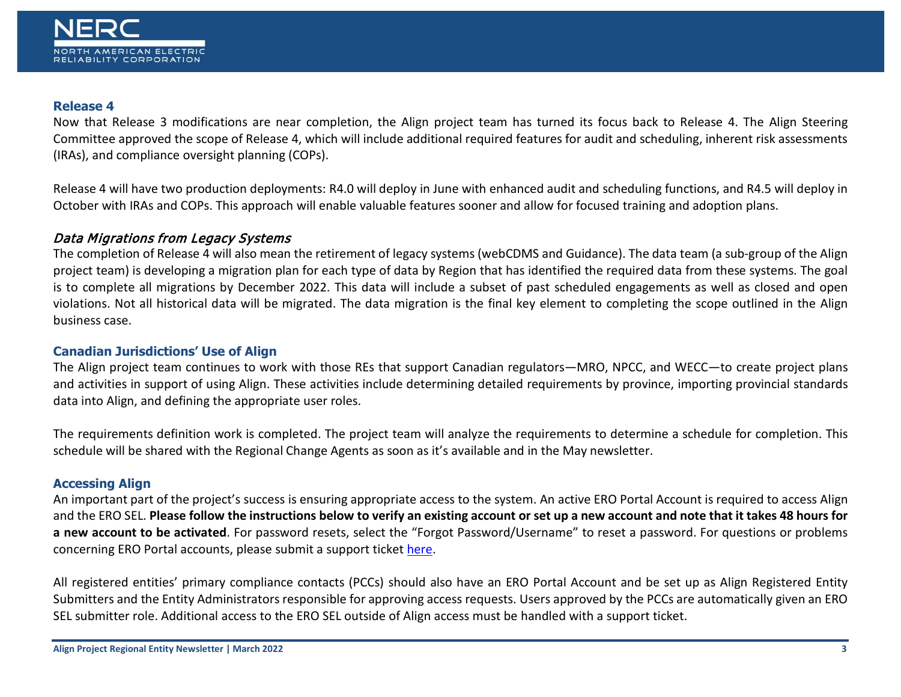#### <span id="page-2-0"></span>**Release 4**

Now that Release 3 modifications are near completion, the Align project team has turned its focus back to Release 4. The Align Steering Committee approved the scope of Release 4, which will include additional required features for audit and scheduling, inherent risk assessments (IRAs), and compliance oversight planning (COPs).

Release 4 will have two production deployments: R4.0 will deploy in June with enhanced audit and scheduling functions, and R4.5 will deploy in October with IRAs and COPs. This approach will enable valuable features sooner and allow for focused training and adoption plans.

#### Data Migrations from Legacy Systems

The completion of Release 4 will also mean the retirement of legacy systems (webCDMS and Guidance). The data team (a sub-group of the Align project team) is developing a migration plan for each type of data by Region that has identified the required data from these systems. The goal is to complete all migrations by December 2022. This data will include a subset of past scheduled engagements as well as closed and open violations. Not all historical data will be migrated. The data migration is the final key element to completing the scope outlined in the Align business case.

#### **Canadian Jurisdictions' Use of Align**

The Align project team continues to work with those REs that support Canadian regulators—MRO, NPCC, and WECC—to create project plans and activities in support of using Align. These activities include determining detailed requirements by province, importing provincial standards data into Align, and defining the appropriate user roles.

The requirements definition work is completed. The project team will analyze the requirements to determine a schedule for completion. This schedule will be shared with the Regional Change Agents as soon as it's available and in the May newsletter.

#### **Accessing Align**

An important part of the project's success is ensuring appropriate access to the system. An active ERO Portal Account is required to access Align and the ERO SEL. **Please follow the instructions below to verify an existing account or set up a new account and note that it takes 48 hours for a new account to be activated**. For password resets, select the "Forgot Password/Username" to reset a password. For questions or problems concerning ERO Portal accounts, please submit a support ticket [here.](https://support.nerc.net/)

All registered entities' primary compliance contacts (PCCs) should also have an ERO Portal Account and be set up as Align Registered Entity Submitters and the Entity Administrators responsible for approving access requests. Users approved by the PCCs are automatically given an ERO SEL submitter role. Additional access to the ERO SEL outside of Align access must be handled with a support ticket.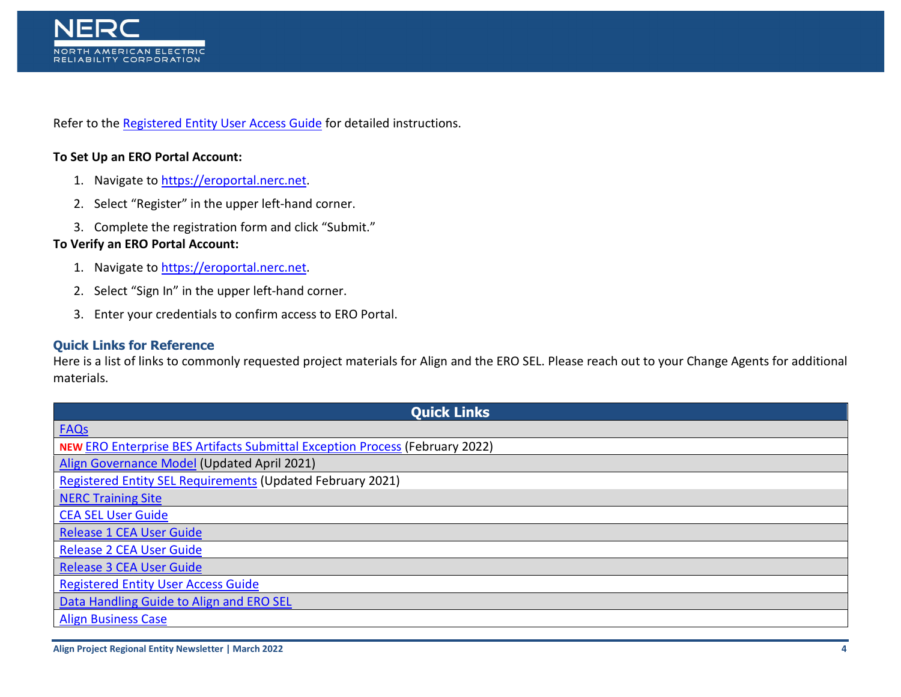

Refer to the [Registered Entity User Access Guide](https://trn.nerc.com/User%20Guide/RE_TTT_User_Access.pdf) for detailed instructions.

#### **To Set Up an ERO Portal Account:**

- 1. Navigate t[o https://eroportal.nerc.net.](https://eroportal.nerc.net/)
- 2. Select "Register" in the upper left-hand corner.
- 3. Complete the registration form and click "Submit."

#### **To Verify an ERO Portal Account:**

- 1. Navigate t[o https://eroportal.nerc.net.](https://eroportal.nerc.net/)
- 2. Select "Sign In" in the upper left-hand corner.
- 3. Enter your credentials to confirm access to ERO Portal.

#### <span id="page-3-0"></span>**Quick Links for Reference**

Here is a list of links to commonly requested project materials for Align and the ERO SEL. Please reach out to your Change Agents for additional materials.

| <b>Quick Links</b>                                                                  |  |  |
|-------------------------------------------------------------------------------------|--|--|
| <b>FAQs</b>                                                                         |  |  |
| <b>NEW ERO Enterprise BES Artifacts Submittal Exception Process (February 2022)</b> |  |  |
| Align Governance Model (Updated April 2021)                                         |  |  |
| <b>Registered Entity SEL Requirements (Updated February 2021)</b>                   |  |  |
| <b>NERC Training Site</b>                                                           |  |  |
| <b>CEA SEL User Guide</b>                                                           |  |  |
| <b>Release 1 CEA User Guide</b>                                                     |  |  |
| <b>Release 2 CEA User Guide</b>                                                     |  |  |
| <b>Release 3 CEA User Guide</b>                                                     |  |  |
| <b>Registered Entity User Access Guide</b>                                          |  |  |
| Data Handling Guide to Align and ERO SEL                                            |  |  |
| <b>Align Business Case</b>                                                          |  |  |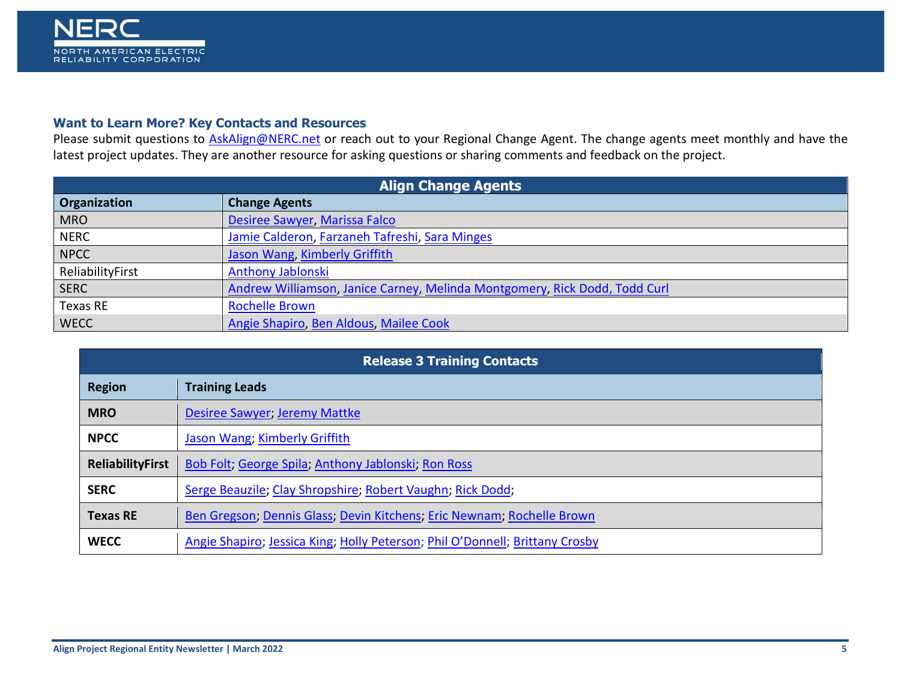

#### <span id="page-4-0"></span>**Want to Learn More? Key Contacts and Resources**

Please submit questions to **AskAlign@NERC.net** or reach out to your Regional Change Agent. The change agents meet monthly and have the latest project updates. They are another resource for asking questions or sharing comments and feedback on the project.

| <b>Align Change Agents</b> |                                                                            |  |
|----------------------------|----------------------------------------------------------------------------|--|
| Organization               | <b>Change Agents</b>                                                       |  |
| <b>MRO</b>                 | Desiree Sawyer, Marissa Falco                                              |  |
| <b>NERC</b>                | Jamie Calderon, Farzaneh Tafreshi, Sara Minges                             |  |
| <b>NPCC</b>                | Jason Wang, Kimberly Griffith                                              |  |
| ReliabilityFirst           | <b>Anthony Jablonski</b>                                                   |  |
| <b>SERC</b>                | Andrew Williamson, Janice Carney, Melinda Montgomery, Rick Dodd, Todd Curl |  |
| <b>Texas RE</b>            | <b>Rochelle Brown</b>                                                      |  |
| <b>WECC</b>                | Angie Shapiro, Ben Aldous, Mailee Cook                                     |  |

| <b>Release 3 Training Contacts</b> |                                                                              |  |
|------------------------------------|------------------------------------------------------------------------------|--|
| <b>Region</b>                      | <b>Training Leads</b>                                                        |  |
| <b>MRO</b>                         | Desiree Sawyer; Jeremy Mattke                                                |  |
| <b>NPCC</b>                        | Jason Wang; Kimberly Griffith                                                |  |
| <b>ReliabilityFirst</b>            | Bob Folt; George Spila; Anthony Jablonski; Ron Ross                          |  |
| <b>SERC</b>                        | Serge Beauzile; Clay Shropshire; Robert Vaughn; Rick Dodd;                   |  |
| <b>Texas RE</b>                    | Ben Gregson; Dennis Glass; Devin Kitchens, Eric Newnam; Rochelle Brown       |  |
| <b>WECC</b>                        | Angie Shapiro; Jessica King; Holly Peterson; Phil O'Donnell; Brittany Crosby |  |